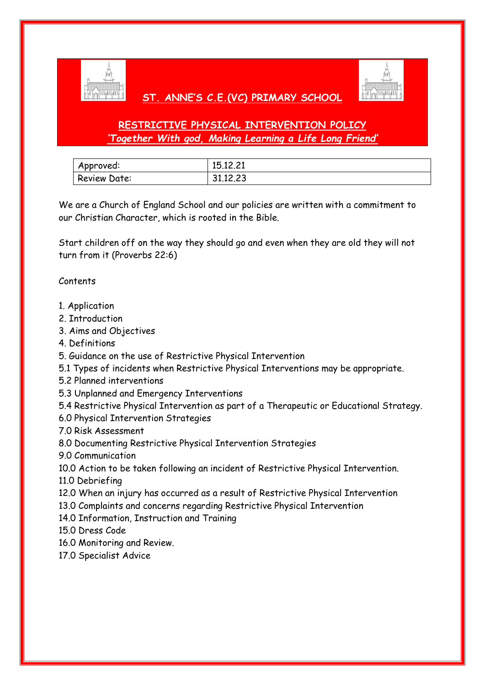

## **ST. ANNE'S C.E.(VC) PRIMARY SCHOOL**



# **RESTRICTIVE PHYSICAL INTERVENTION POLICY** *'Together With god, Making Learning a Life Long Friend'*

| Approved:           | 15.12.21 |
|---------------------|----------|
| <b>Review Date:</b> | 31.12.23 |

We are a Church of England School and our policies are written with a commitment to our Christian Character, which is rooted in the Bible.

Start children off on the way they should go and even when they are old they will not turn from it (Proverbs 22:6)

#### Contents

- 1. Application
- 2. Introduction
- 3. Aims and Objectives
- 4. Definitions
- 5. Guidance on the use of Restrictive Physical Intervention
- 5.1 Types of incidents when Restrictive Physical Interventions may be appropriate.
- 5.2 Planned interventions
- 5.3 Unplanned and Emergency Interventions
- 5.4 Restrictive Physical Intervention as part of a Therapeutic or Educational Strategy.
- 6.0 Physical Intervention Strategies
- 7.0 Risk Assessment
- 8.0 Documenting Restrictive Physical Intervention Strategies
- 9.0 Communication
- 10.0 Action to be taken following an incident of Restrictive Physical Intervention.
- 11.0 Debriefing
- 12.0 When an injury has occurred as a result of Restrictive Physical Intervention
- 13.0 Complaints and concerns regarding Restrictive Physical Intervention
- 14.0 Information, Instruction and Training
- 15.0 Dress Code
- 16.0 Monitoring and Review.
- 17.0 Specialist Advice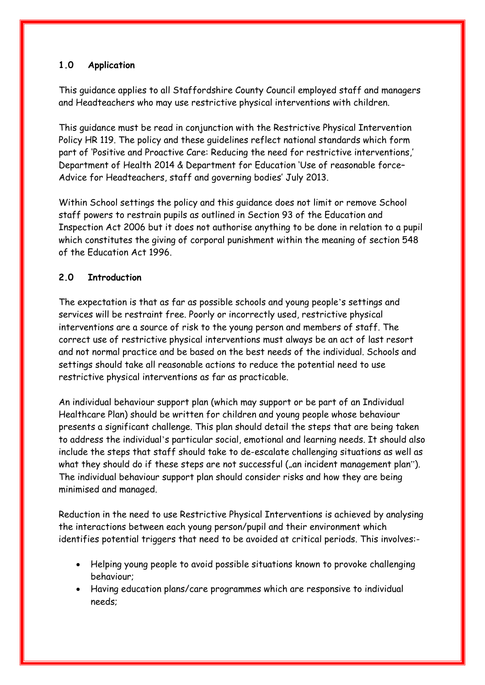### **1.0 Application**

This guidance applies to all Staffordshire County Council employed staff and managers and Headteachers who may use restrictive physical interventions with children.

This guidance must be read in conjunction with the Restrictive Physical Intervention Policy HR 119. The policy and these guidelines reflect national standards which form part of 'Positive and Proactive Care: Reducing the need for restrictive interventions,' Department of Health 2014 & Department for Education 'Use of reasonable force– Advice for Headteachers, staff and governing bodies' July 2013.

Within School settings the policy and this guidance does not limit or remove School staff powers to restrain pupils as outlined in Section 93 of the Education and Inspection Act 2006 but it does not authorise anything to be done in relation to a pupil which constitutes the giving of corporal punishment within the meaning of section 548 of the Education Act 1996.

#### **2.0 Introduction**

The expectation is that as far as possible schools and young people's settings and services will be restraint free. Poorly or incorrectly used, restrictive physical interventions are a source of risk to the young person and members of staff. The correct use of restrictive physical interventions must always be an act of last resort and not normal practice and be based on the best needs of the individual. Schools and settings should take all reasonable actions to reduce the potential need to use restrictive physical interventions as far as practicable.

An individual behaviour support plan (which may support or be part of an Individual Healthcare Plan) should be written for children and young people whose behaviour presents a significant challenge. This plan should detail the steps that are being taken to address the individual's particular social, emotional and learning needs. It should also include the steps that staff should take to de-escalate challenging situations as well as what they should do if these steps are not successful ("an incident management plan"). The individual behaviour support plan should consider risks and how they are being minimised and managed.

Reduction in the need to use Restrictive Physical Interventions is achieved by analysing the interactions between each young person/pupil and their environment which identifies potential triggers that need to be avoided at critical periods. This involves:-

- Helping young people to avoid possible situations known to provoke challenging behaviour;
- Having education plans/care programmes which are responsive to individual needs;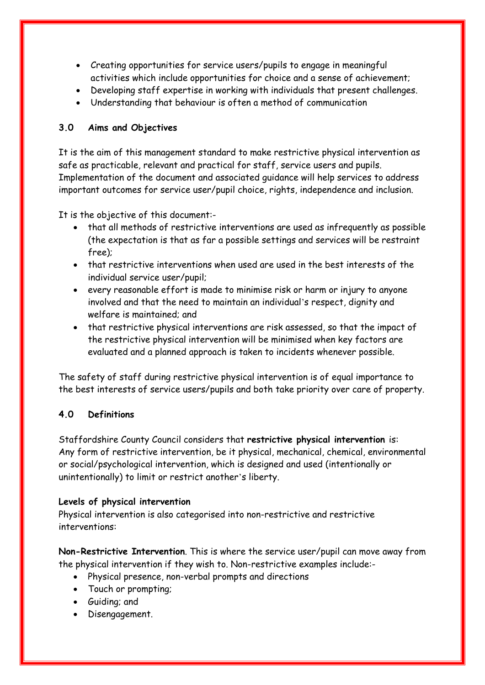- Creating opportunities for service users/pupils to engage in meaningful activities which include opportunities for choice and a sense of achievement;
- Developing staff expertise in working with individuals that present challenges.
- Understanding that behaviour is often a method of communication

## **3.0 Aims and Objectives**

It is the aim of this management standard to make restrictive physical intervention as safe as practicable, relevant and practical for staff, service users and pupils. Implementation of the document and associated guidance will help services to address important outcomes for service user/pupil choice, rights, independence and inclusion.

It is the objective of this document:-

- that all methods of restrictive interventions are used as infrequently as possible (the expectation is that as far a possible settings and services will be restraint free);
- that restrictive interventions when used are used in the best interests of the individual service user/pupil;
- every reasonable effort is made to minimise risk or harm or injury to anyone involved and that the need to maintain an individual's respect, dignity and welfare is maintained; and
- that restrictive physical interventions are risk assessed, so that the impact of the restrictive physical intervention will be minimised when key factors are evaluated and a planned approach is taken to incidents whenever possible.

The safety of staff during restrictive physical intervention is of equal importance to the best interests of service users/pupils and both take priority over care of property.

## **4.0 Definitions**

Staffordshire County Council considers that **restrictive physical intervention** is: Any form of restrictive intervention, be it physical, mechanical, chemical, environmental or social/psychological intervention, which is designed and used (intentionally or unintentionally) to limit or restrict another's liberty.

#### **Levels of physical intervention**

Physical intervention is also categorised into non-restrictive and restrictive interventions:

**Non-Restrictive Intervention**. This is where the service user/pupil can move away from the physical intervention if they wish to. Non-restrictive examples include:-

- Physical presence, non-verbal prompts and directions
- Touch or prompting;
- Guiding; and
- Disengagement.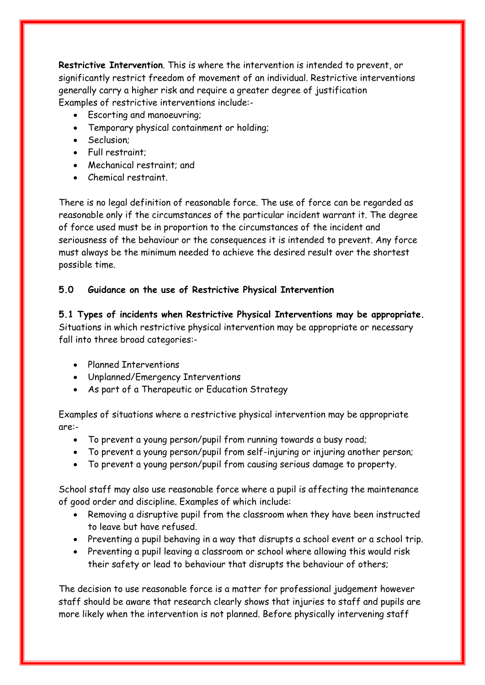**Restrictive Intervention**. This is where the intervention is intended to prevent, or significantly restrict freedom of movement of an individual. Restrictive interventions generally carry a higher risk and require a greater degree of justification Examples of restrictive interventions include:-

- Escorting and manoeuvring;
- Temporary physical containment or holding;
- Seclusion:
- Full restraint;
- Mechanical restraint; and
- Chemical restraint.

There is no legal definition of reasonable force. The use of force can be regarded as reasonable only if the circumstances of the particular incident warrant it. The degree of force used must be in proportion to the circumstances of the incident and seriousness of the behaviour or the consequences it is intended to prevent. Any force must always be the minimum needed to achieve the desired result over the shortest possible time.

#### **5.0 Guidance on the use of Restrictive Physical Intervention**

**5.1 Types of incidents when Restrictive Physical Interventions may be appropriate.** Situations in which restrictive physical intervention may be appropriate or necessary fall into three broad categories:-

- Planned Interventions
- Unplanned/Emergency Interventions
- As part of a Therapeutic or Education Strategy

Examples of situations where a restrictive physical intervention may be appropriate are:-

- To prevent a young person/pupil from running towards a busy road;
- To prevent a young person/pupil from self-injuring or injuring another person;
- To prevent a young person/pupil from causing serious damage to property.

School staff may also use reasonable force where a pupil is affecting the maintenance of good order and discipline. Examples of which include:

- Removing a disruptive pupil from the classroom when they have been instructed to leave but have refused.
- Preventing a pupil behaving in a way that disrupts a school event or a school trip.
- Preventing a pupil leaving a classroom or school where allowing this would risk their safety or lead to behaviour that disrupts the behaviour of others;

The decision to use reasonable force is a matter for professional judgement however staff should be aware that research clearly shows that injuries to staff and pupils are more likely when the intervention is not planned. Before physically intervening staff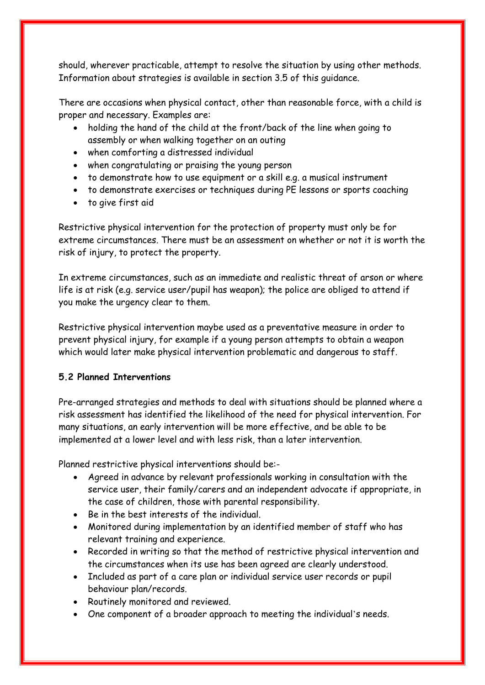should, wherever practicable, attempt to resolve the situation by using other methods. Information about strategies is available in section 3.5 of this guidance.

There are occasions when physical contact, other than reasonable force, with a child is proper and necessary. Examples are:

- holding the hand of the child at the front/back of the line when going to assembly or when walking together on an outing
- when comforting a distressed individual
- when congratulating or praising the young person
- to demonstrate how to use equipment or a skill e.g. a musical instrument
- to demonstrate exercises or techniques during PE lessons or sports coaching
- to give first aid

Restrictive physical intervention for the protection of property must only be for extreme circumstances. There must be an assessment on whether or not it is worth the risk of injury, to protect the property.

In extreme circumstances, such as an immediate and realistic threat of arson or where life is at risk (e.g. service user/pupil has weapon); the police are obliged to attend if you make the urgency clear to them.

Restrictive physical intervention maybe used as a preventative measure in order to prevent physical injury, for example if a young person attempts to obtain a weapon which would later make physical intervention problematic and dangerous to staff.

## **5.2 Planned Interventions**

Pre-arranged strategies and methods to deal with situations should be planned where a risk assessment has identified the likelihood of the need for physical intervention. For many situations, an early intervention will be more effective, and be able to be implemented at a lower level and with less risk, than a later intervention.

Planned restrictive physical interventions should be:-

- Agreed in advance by relevant professionals working in consultation with the service user, their family/carers and an independent advocate if appropriate, in the case of children, those with parental responsibility.
- Be in the best interests of the individual.
- Monitored during implementation by an identified member of staff who has relevant training and experience.
- Recorded in writing so that the method of restrictive physical intervention and the circumstances when its use has been agreed are clearly understood.
- Included as part of a care plan or individual service user records or pupil behaviour plan/records.
- Routinely monitored and reviewed.
- One component of a broader approach to meeting the individual's needs.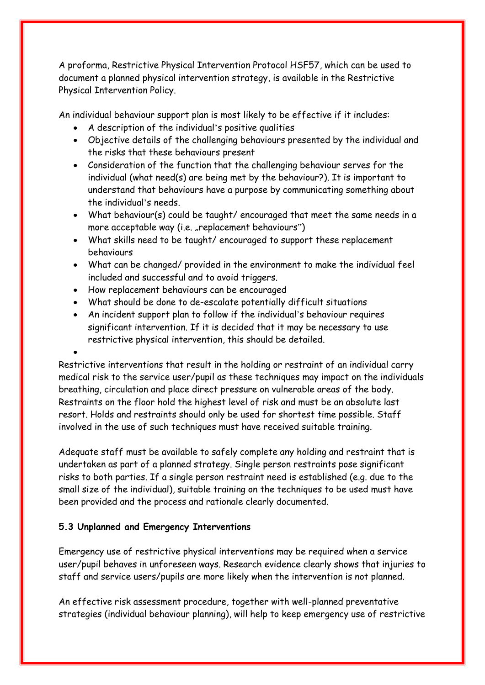A proforma, Restrictive Physical Intervention Protocol HSF57, which can be used to document a planned physical intervention strategy, is available in the Restrictive Physical Intervention Policy.

An individual behaviour support plan is most likely to be effective if it includes:

- A description of the individual's positive qualities
- Objective details of the challenging behaviours presented by the individual and the risks that these behaviours present
- Consideration of the function that the challenging behaviour serves for the individual (what need(s) are being met by the behaviour?). It is important to understand that behaviours have a purpose by communicating something about the individual's needs.
- What behaviour(s) could be taught/ encouraged that meet the same needs in a more acceptable way (i.e. "replacement behaviours")
- What skills need to be taught/ encouraged to support these replacement behaviours
- What can be changed/ provided in the environment to make the individual feel included and successful and to avoid triggers.
- How replacement behaviours can be encouraged
- What should be done to de-escalate potentially difficult situations
- An incident support plan to follow if the individual's behaviour requires significant intervention. If it is decided that it may be necessary to use restrictive physical intervention, this should be detailed.

Restrictive interventions that result in the holding or restraint of an individual carry medical risk to the service user/pupil as these techniques may impact on the individuals breathing, circulation and place direct pressure on vulnerable areas of the body. Restraints on the floor hold the highest level of risk and must be an absolute last resort. Holds and restraints should only be used for shortest time possible. Staff involved in the use of such techniques must have received suitable training.

Adequate staff must be available to safely complete any holding and restraint that is undertaken as part of a planned strategy. Single person restraints pose significant risks to both parties. If a single person restraint need is established (e.g. due to the small size of the individual), suitable training on the techniques to be used must have been provided and the process and rationale clearly documented.

#### **5.3 Unplanned and Emergency Interventions**

 $\bullet$ 

Emergency use of restrictive physical interventions may be required when a service user/pupil behaves in unforeseen ways. Research evidence clearly shows that injuries to staff and service users/pupils are more likely when the intervention is not planned.

An effective risk assessment procedure, together with well-planned preventative strategies (individual behaviour planning), will help to keep emergency use of restrictive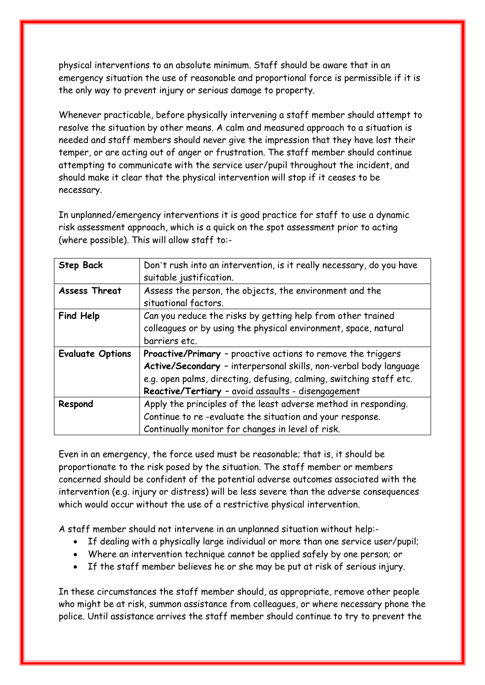physical interventions to an absolute minimum. Staff should be aware that in an emergency situation the use of reasonable and proportional force is permissible if it is the only way to prevent injury or serious damage to property.

Whenever practicable, before physically intervening a staff member should attempt to resolve the situation by other means. A calm and measured approach to a situation is needed and staff members should never give the impression that they have lost their temper, or are acting out of anger or frustration. The staff member should continue attempting to communicate with the service user/pupil throughout the incident, and should make it clear that the physical intervention will stop if it ceases to be necessary.

In unplanned/emergency interventions it is good practice for staff to use a dynamic risk assessment approach, which is a quick on the spot assessment prior to acting (where possible). This will allow staff to:-

| <b>Step Back</b>        | Don't rush into an intervention, is it really necessary, do you have<br>suitable justification.                                                                                                                                                                |  |  |  |
|-------------------------|----------------------------------------------------------------------------------------------------------------------------------------------------------------------------------------------------------------------------------------------------------------|--|--|--|
| <b>Assess Threat</b>    | Assess the person, the objects, the environment and the<br>situational factors.                                                                                                                                                                                |  |  |  |
| <b>Find Help</b>        | Can you reduce the risks by getting help from other trained<br>colleagues or by using the physical environment, space, natural<br>barriers etc.                                                                                                                |  |  |  |
| <b>Evaluate Options</b> | Proactive/Primary - proactive actions to remove the triggers<br>Active/Secondary - interpersonal skills, non-verbal body language<br>e.g. open palms, directing, defusing, calming, switching staff etc.<br>Reactive/Tertiary - avoid assaults - disengagement |  |  |  |
| Respond                 | Apply the principles of the least adverse method in responding.<br>Continue to re-evaluate the situation and your response.<br>Continually monitor for changes in level of risk.                                                                               |  |  |  |

Even in an emergency, the force used must be reasonable; that is, it should be proportionate to the risk posed by the situation. The staff member or members concerned should be confident of the potential adverse outcomes associated with the intervention (e.g. injury or distress) will be less severe than the adverse consequences which would occur without the use of a restrictive physical intervention.

A staff member should not intervene in an unplanned situation without help:-

- If dealing with a physically large individual or more than one service user/pupil;
- Where an intervention technique cannot be applied safely by one person; or
- If the staff member believes he or she may be put at risk of serious injury.

In these circumstances the staff member should, as appropriate, remove other people who might be at risk, summon assistance from colleagues, or where necessary phone the police. Until assistance arrives the staff member should continue to try to prevent the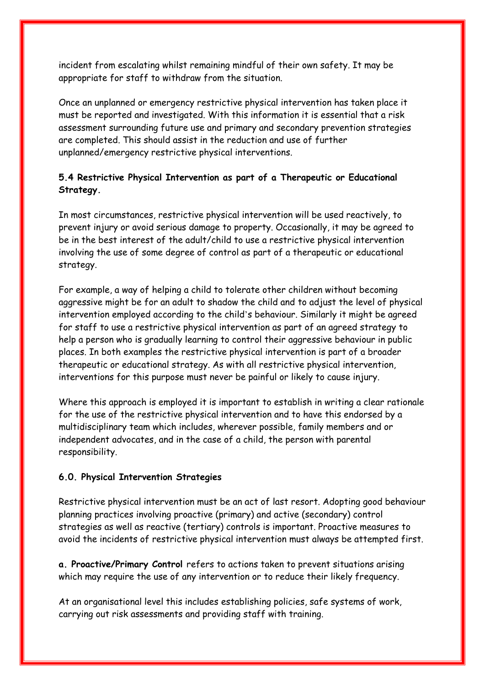incident from escalating whilst remaining mindful of their own safety. It may be appropriate for staff to withdraw from the situation.

Once an unplanned or emergency restrictive physical intervention has taken place it must be reported and investigated. With this information it is essential that a risk assessment surrounding future use and primary and secondary prevention strategies are completed. This should assist in the reduction and use of further unplanned/emergency restrictive physical interventions.

## **5.4 Restrictive Physical Intervention as part of a Therapeutic or Educational Strategy.**

In most circumstances, restrictive physical intervention will be used reactively, to prevent injury or avoid serious damage to property. Occasionally, it may be agreed to be in the best interest of the adult/child to use a restrictive physical intervention involving the use of some degree of control as part of a therapeutic or educational strategy.

For example, a way of helping a child to tolerate other children without becoming aggressive might be for an adult to shadow the child and to adjust the level of physical intervention employed according to the child's behaviour. Similarly it might be agreed for staff to use a restrictive physical intervention as part of an agreed strategy to help a person who is gradually learning to control their aggressive behaviour in public places. In both examples the restrictive physical intervention is part of a broader therapeutic or educational strategy. As with all restrictive physical intervention, interventions for this purpose must never be painful or likely to cause injury.

Where this approach is employed it is important to establish in writing a clear rationale for the use of the restrictive physical intervention and to have this endorsed by a multidisciplinary team which includes, wherever possible, family members and or independent advocates, and in the case of a child, the person with parental responsibility.

## **6.0. Physical Intervention Strategies**

Restrictive physical intervention must be an act of last resort. Adopting good behaviour planning practices involving proactive (primary) and active (secondary) control strategies as well as reactive (tertiary) controls is important. Proactive measures to avoid the incidents of restrictive physical intervention must always be attempted first.

**a. Proactive/Primary Control** refers to actions taken to prevent situations arising which may require the use of any intervention or to reduce their likely frequency.

At an organisational level this includes establishing policies, safe systems of work, carrying out risk assessments and providing staff with training.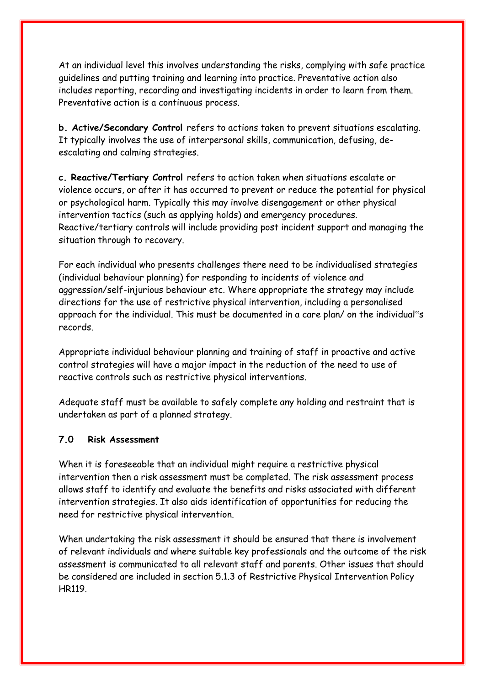At an individual level this involves understanding the risks, complying with safe practice guidelines and putting training and learning into practice. Preventative action also includes reporting, recording and investigating incidents in order to learn from them. Preventative action is a continuous process.

**b. Active/Secondary Control** refers to actions taken to prevent situations escalating. It typically involves the use of interpersonal skills, communication, defusing, deescalating and calming strategies.

**c. Reactive/Tertiary Control** refers to action taken when situations escalate or violence occurs, or after it has occurred to prevent or reduce the potential for physical or psychological harm. Typically this may involve disengagement or other physical intervention tactics (such as applying holds) and emergency procedures. Reactive/tertiary controls will include providing post incident support and managing the situation through to recovery.

For each individual who presents challenges there need to be individualised strategies (individual behaviour planning) for responding to incidents of violence and aggression/self-injurious behaviour etc. Where appropriate the strategy may include directions for the use of restrictive physical intervention, including a personalised approach for the individual. This must be documented in a care plan/ on the individual"s records.

Appropriate individual behaviour planning and training of staff in proactive and active control strategies will have a major impact in the reduction of the need to use of reactive controls such as restrictive physical interventions.

Adequate staff must be available to safely complete any holding and restraint that is undertaken as part of a planned strategy.

#### **7.0 Risk Assessment**

When it is foreseeable that an individual might require a restrictive physical intervention then a risk assessment must be completed. The risk assessment process allows staff to identify and evaluate the benefits and risks associated with different intervention strategies. It also aids identification of opportunities for reducing the need for restrictive physical intervention.

When undertaking the risk assessment it should be ensured that there is involvement of relevant individuals and where suitable key professionals and the outcome of the risk assessment is communicated to all relevant staff and parents. Other issues that should be considered are included in section 5.1.3 of Restrictive Physical Intervention Policy HR119.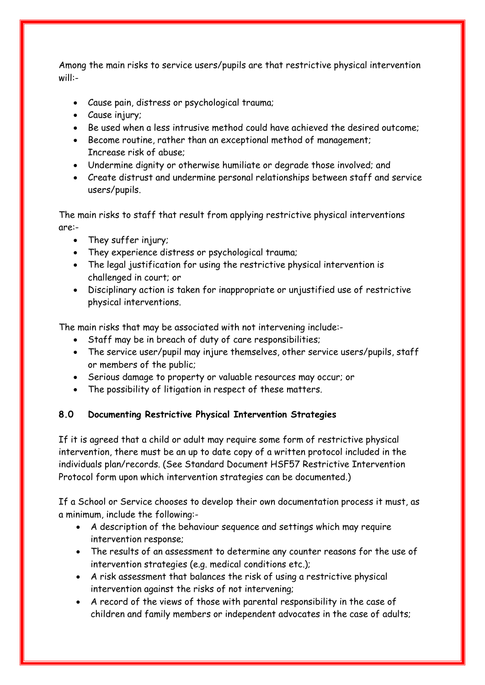Among the main risks to service users/pupils are that restrictive physical intervention will:-

- Cause pain, distress or psychological trauma;
- Cause injury;
- Be used when a less intrusive method could have achieved the desired outcome:
- Become routine, rather than an exceptional method of management; Increase risk of abuse;
- Undermine dignity or otherwise humiliate or degrade those involved; and
- Create distrust and undermine personal relationships between staff and service users/pupils.

The main risks to staff that result from applying restrictive physical interventions are:-

- They suffer injury;
- They experience distress or psychological trauma;
- The legal justification for using the restrictive physical intervention is challenged in court; or
- Disciplinary action is taken for inappropriate or unjustified use of restrictive physical interventions.

The main risks that may be associated with not intervening include:-

- Staff may be in breach of duty of care responsibilities;
- The service user/pupil may injure themselves, other service users/pupils, staff or members of the public;
- Serious damage to property or valuable resources may occur; or
- The possibility of litigation in respect of these matters.

#### **8.0 Documenting Restrictive Physical Intervention Strategies**

If it is agreed that a child or adult may require some form of restrictive physical intervention, there must be an up to date copy of a written protocol included in the individuals plan/records. (See Standard Document HSF57 Restrictive Intervention Protocol form upon which intervention strategies can be documented.)

If a School or Service chooses to develop their own documentation process it must, as a minimum, include the following:-

- A description of the behaviour sequence and settings which may require intervention response;
- The results of an assessment to determine any counter reasons for the use of intervention strategies (e.g. medical conditions etc.);
- A risk assessment that balances the risk of using a restrictive physical intervention against the risks of not intervening;
- A record of the views of those with parental responsibility in the case of children and family members or independent advocates in the case of adults;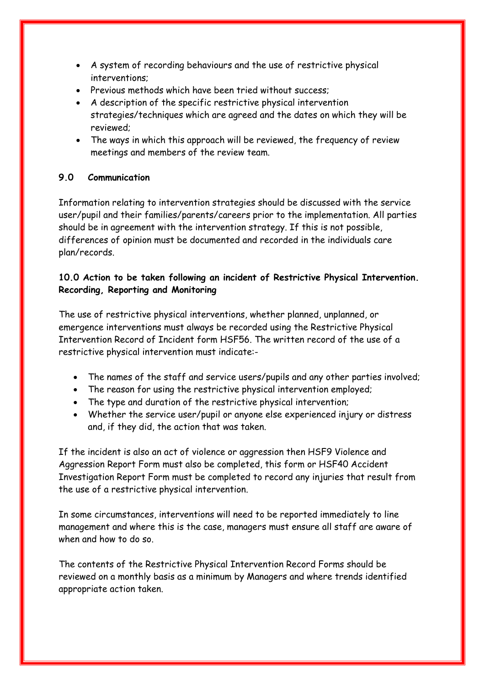- A system of recording behaviours and the use of restrictive physical interventions;
- Previous methods which have been tried without success:
- A description of the specific restrictive physical intervention strategies/techniques which are agreed and the dates on which they will be reviewed;
- The ways in which this approach will be reviewed, the frequency of review meetings and members of the review team.

#### **9.0 Communication**

Information relating to intervention strategies should be discussed with the service user/pupil and their families/parents/careers prior to the implementation. All parties should be in agreement with the intervention strategy. If this is not possible, differences of opinion must be documented and recorded in the individuals care plan/records.

### **10.0 Action to be taken following an incident of Restrictive Physical Intervention. Recording, Reporting and Monitoring**

The use of restrictive physical interventions, whether planned, unplanned, or emergence interventions must always be recorded using the Restrictive Physical Intervention Record of Incident form HSF56. The written record of the use of a restrictive physical intervention must indicate:-

- The names of the staff and service users/pupils and any other parties involved;
- The reason for using the restrictive physical intervention employed;
- The type and duration of the restrictive physical intervention;
- Whether the service user/pupil or anyone else experienced injury or distress and, if they did, the action that was taken.

If the incident is also an act of violence or aggression then HSF9 Violence and Aggression Report Form must also be completed, this form or HSF40 Accident Investigation Report Form must be completed to record any injuries that result from the use of a restrictive physical intervention.

In some circumstances, interventions will need to be reported immediately to line management and where this is the case, managers must ensure all staff are aware of when and how to do so.

The contents of the Restrictive Physical Intervention Record Forms should be reviewed on a monthly basis as a minimum by Managers and where trends identified appropriate action taken.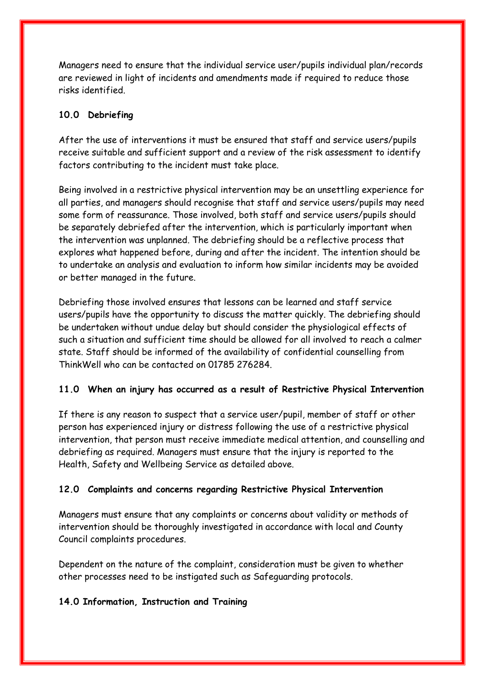Managers need to ensure that the individual service user/pupils individual plan/records are reviewed in light of incidents and amendments made if required to reduce those risks identified.

#### **10.0 Debriefing**

After the use of interventions it must be ensured that staff and service users/pupils receive suitable and sufficient support and a review of the risk assessment to identify factors contributing to the incident must take place.

Being involved in a restrictive physical intervention may be an unsettling experience for all parties, and managers should recognise that staff and service users/pupils may need some form of reassurance. Those involved, both staff and service users/pupils should be separately debriefed after the intervention, which is particularly important when the intervention was unplanned. The debriefing should be a reflective process that explores what happened before, during and after the incident. The intention should be to undertake an analysis and evaluation to inform how similar incidents may be avoided or better managed in the future.

Debriefing those involved ensures that lessons can be learned and staff service users/pupils have the opportunity to discuss the matter quickly. The debriefing should be undertaken without undue delay but should consider the physiological effects of such a situation and sufficient time should be allowed for all involved to reach a calmer state. Staff should be informed of the availability of confidential counselling from ThinkWell who can be contacted on 01785 276284.

## **11.0 When an injury has occurred as a result of Restrictive Physical Intervention**

If there is any reason to suspect that a service user/pupil, member of staff or other person has experienced injury or distress following the use of a restrictive physical intervention, that person must receive immediate medical attention, and counselling and debriefing as required. Managers must ensure that the injury is reported to the Health, Safety and Wellbeing Service as detailed above.

#### **12.0 Complaints and concerns regarding Restrictive Physical Intervention**

Managers must ensure that any complaints or concerns about validity or methods of intervention should be thoroughly investigated in accordance with local and County Council complaints procedures.

Dependent on the nature of the complaint, consideration must be given to whether other processes need to be instigated such as Safeguarding protocols.

#### **14.0 Information, Instruction and Training**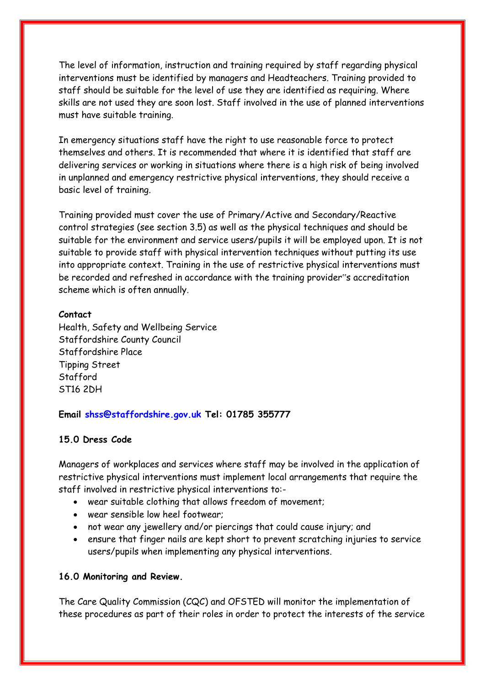The level of information, instruction and training required by staff regarding physical interventions must be identified by managers and Headteachers. Training provided to staff should be suitable for the level of use they are identified as requiring. Where skills are not used they are soon lost. Staff involved in the use of planned interventions must have suitable training.

In emergency situations staff have the right to use reasonable force to protect themselves and others. It is recommended that where it is identified that staff are delivering services or working in situations where there is a high risk of being involved in unplanned and emergency restrictive physical interventions, they should receive a basic level of training.

Training provided must cover the use of Primary/Active and Secondary/Reactive control strategies (see section 3.5) as well as the physical techniques and should be suitable for the environment and service users/pupils it will be employed upon. It is not suitable to provide staff with physical intervention techniques without putting its use into appropriate context. Training in the use of restrictive physical interventions must be recorded and refreshed in accordance with the training provider"s accreditation scheme which is often annually.

#### **Contact**

Health, Safety and Wellbeing Service Staffordshire County Council Staffordshire Place Tipping Street Stafford ST16 2DH

#### **Email shss@staffordshire.gov.uk Tel: 01785 355777**

#### **15.0 Dress Code**

Managers of workplaces and services where staff may be involved in the application of restrictive physical interventions must implement local arrangements that require the staff involved in restrictive physical interventions to:-

- wear suitable clothing that allows freedom of movement;
- wear sensible low heel footwear;
- not wear any jewellery and/or piercings that could cause injury; and
- ensure that finger nails are kept short to prevent scratching injuries to service users/pupils when implementing any physical interventions.

#### **16.0 Monitoring and Review.**

The Care Quality Commission (CQC) and OFSTED will monitor the implementation of these procedures as part of their roles in order to protect the interests of the service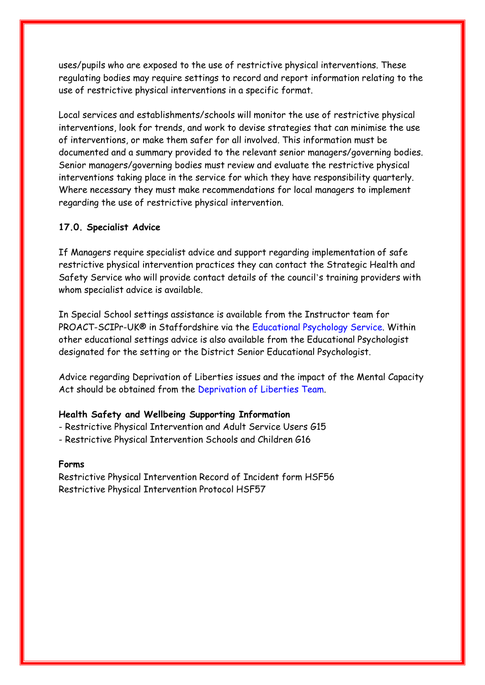uses/pupils who are exposed to the use of restrictive physical interventions. These regulating bodies may require settings to record and report information relating to the use of restrictive physical interventions in a specific format.

Local services and establishments/schools will monitor the use of restrictive physical interventions, look for trends, and work to devise strategies that can minimise the use of interventions, or make them safer for all involved. This information must be documented and a summary provided to the relevant senior managers/governing bodies. Senior managers/governing bodies must review and evaluate the restrictive physical interventions taking place in the service for which they have responsibility quarterly. Where necessary they must make recommendations for local managers to implement regarding the use of restrictive physical intervention.

#### **17.0. Specialist Advice**

If Managers require specialist advice and support regarding implementation of safe restrictive physical intervention practices they can contact the Strategic Health and Safety Service who will provide contact details of the council's training providers with whom specialist advice is available.

In Special School settings assistance is available from the Instructor team for PROACT-SCIPr-UK® in Staffordshire via the Educational Psychology Service. Within other educational settings advice is also available from the Educational Psychologist designated for the setting or the District Senior Educational Psychologist.

Advice regarding Deprivation of Liberties issues and the impact of the Mental Capacity Act should be obtained from the Deprivation of Liberties Team.

#### **Health Safety and Wellbeing Supporting Information**

- Restrictive Physical Intervention and Adult Service Users G15
- Restrictive Physical Intervention Schools and Children G16

#### **Forms**

Restrictive Physical Intervention Record of Incident form HSF56 Restrictive Physical Intervention Protocol HSF57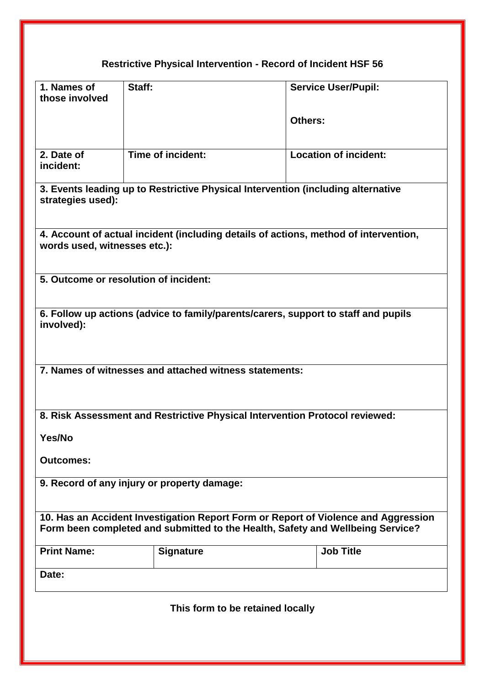# **Restrictive Physical Intervention - Record of Incident HSF 56**

| 1. Names of<br>those involved | Staff:                                                 | <b>Service User/Pupil:</b>                                                                                                                                           |
|-------------------------------|--------------------------------------------------------|----------------------------------------------------------------------------------------------------------------------------------------------------------------------|
|                               |                                                        |                                                                                                                                                                      |
|                               |                                                        | Others:                                                                                                                                                              |
| 2. Date of<br>incident:       | Time of incident:                                      | <b>Location of incident:</b>                                                                                                                                         |
| strategies used):             |                                                        | 3. Events leading up to Restrictive Physical Intervention (including alternative                                                                                     |
| words used, witnesses etc.):  |                                                        | 4. Account of actual incident (including details of actions, method of intervention,                                                                                 |
|                               | 5. Outcome or resolution of incident:                  |                                                                                                                                                                      |
| involved):                    |                                                        | 6. Follow up actions (advice to family/parents/carers, support to staff and pupils                                                                                   |
|                               | 7. Names of witnesses and attached witness statements: |                                                                                                                                                                      |
|                               |                                                        | 8. Risk Assessment and Restrictive Physical Intervention Protocol reviewed:                                                                                          |
| Yes/No                        |                                                        |                                                                                                                                                                      |
| <b>Outcomes:</b>              |                                                        |                                                                                                                                                                      |
|                               | 9. Record of any injury or property damage:            |                                                                                                                                                                      |
|                               |                                                        | 10. Has an Accident Investigation Report Form or Report of Violence and Aggression<br>Form been completed and submitted to the Health, Safety and Wellbeing Service? |
| <b>Print Name:</b>            | <b>Signature</b>                                       | <b>Job Title</b>                                                                                                                                                     |
| Date:                         |                                                        |                                                                                                                                                                      |
|                               |                                                        |                                                                                                                                                                      |

**This form to be retained locally**